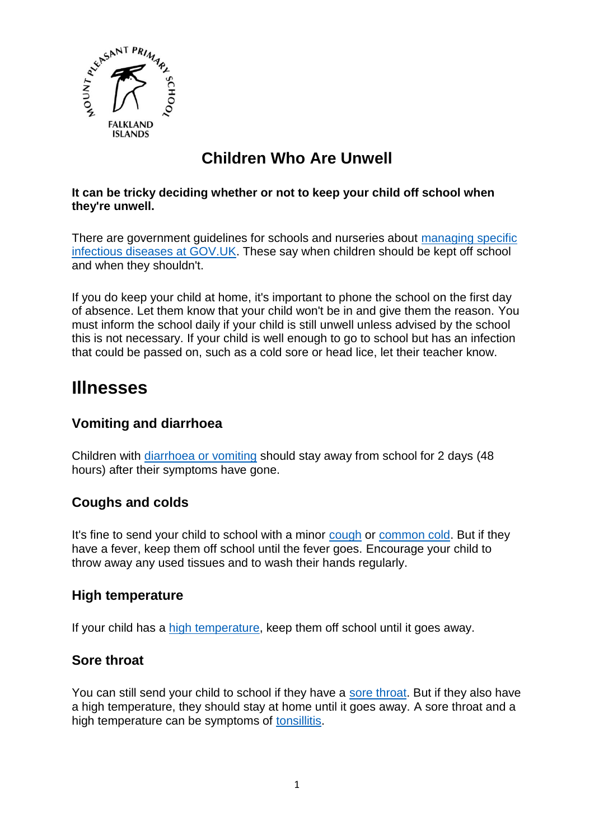

# **Children Who Are Unwell**

#### **It can be tricky deciding whether or not to keep your child off school when they're unwell.**

There are government guidelines for schools and nurseries about [managing specific](https://www.gov.uk/government/publications/health-protection-in-schools-and-other-childcare-facilities/chapter-9-managing-specific-infectious-diseases)  [infectious diseases at GOV.UK.](https://www.gov.uk/government/publications/health-protection-in-schools-and-other-childcare-facilities/chapter-9-managing-specific-infectious-diseases) These say when children should be kept off school and when they shouldn't.

If you do keep your child at home, it's important to phone the school on the first day of absence. Let them know that your child won't be in and give them the reason. You must inform the school daily if your child is still unwell unless advised by the school this is not necessary. If your child is well enough to go to school but has an infection that could be passed on, such as a cold sore or head lice, let their teacher know.

# **Illnesses**

# **Vomiting and diarrhoea**

Children with [diarrhoea or vomiting](https://www.nhs.uk/conditions/diarrhoea-and-vomiting/) should stay away from school for 2 days (48 hours) after their symptoms have gone.

## **Coughs and colds**

It's fine to send your child to school with a minor [cough](https://www.nhs.uk/conditions/cough/) or [common cold.](https://www.nhs.uk/conditions/common-cold/) But if they have a fever, keep them off school until the fever goes. Encourage your child to throw away any used tissues and to wash their hands regularly.

## **High temperature**

If your child has a [high temperature,](https://www.nhs.uk/conditions/fever-in-children/) keep them off school until it goes away.

# **Sore throat**

You can still send your child to school if they have a [sore throat.](https://www.nhs.uk/conditions/sore-throat/) But if they also have a high temperature, they should stay at home until it goes away. A sore throat and a high temperature can be symptoms of [tonsillitis.](https://www.nhs.uk/conditions/tonsillitis/)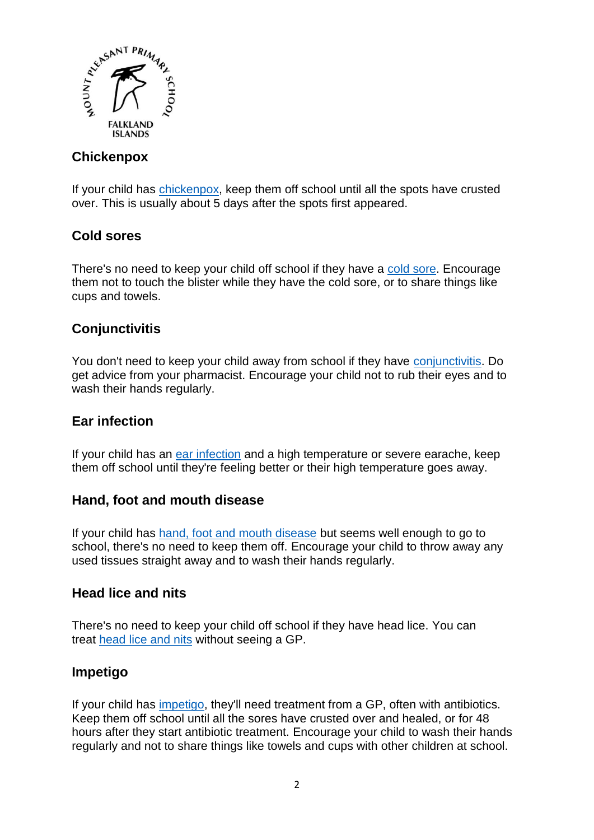

# **Chickenpox**

If your child has [chickenpox,](https://www.nhs.uk/conditions/chickenpox/) keep them off school until all the spots have crusted over. This is usually about 5 days after the spots first appeared.

# **Cold sores**

There's no need to keep your child off school if they have a [cold sore.](https://www.nhs.uk/conditions/cold-sores/) Encourage them not to touch the blister while they have the cold sore, or to share things like cups and towels.

# **Conjunctivitis**

You don't need to keep your child away from school if they have [conjunctivitis.](https://www.nhs.uk/conditions/conjunctivitis/) Do get advice from your pharmacist. Encourage your child not to rub their eyes and to wash their hands regularly.

#### **Ear infection**

If your child has an [ear infection](https://www.nhs.uk/conditions/ear-infections/) and a high temperature or severe earache, keep them off school until they're feeling better or their high temperature goes away.

#### **Hand, foot and mouth disease**

If your child has [hand, foot and mouth disease](https://www.nhs.uk/conditions/hand-foot-mouth-disease/) but seems well enough to go to school, there's no need to keep them off. Encourage your child to throw away any used tissues straight away and to wash their hands regularly.

## **Head lice and nits**

There's no need to keep your child off school if they have head lice. You can treat [head lice and nits](https://www.nhs.uk/conditions/head-lice-and-nits/) without seeing a GP.

## **Impetigo**

If your child has [impetigo,](https://www.nhs.uk/conditions/impetigo/) they'll need treatment from a GP, often with antibiotics. Keep them off school until all the sores have crusted over and healed, or for 48 hours after they start antibiotic treatment. Encourage your child to wash their hands regularly and not to share things like towels and cups with other children at school.